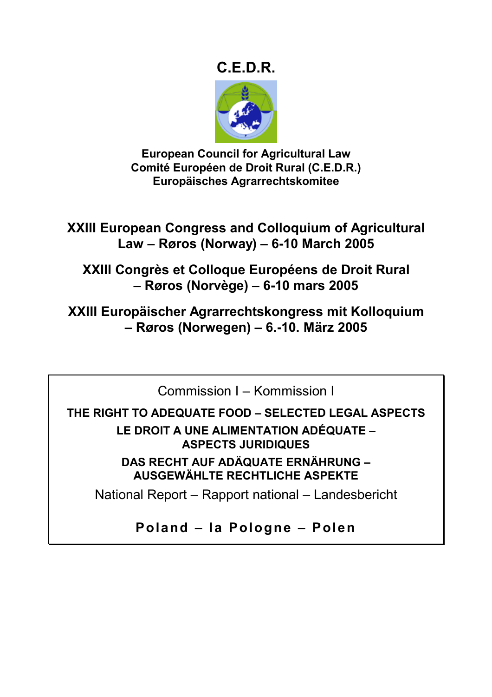# **C.E.D.R.**



**European Council for Agricultural Law Comité Européen de Droit Rural (C.E.D.R.) Europäisches Agrarrechtskomitee** 

**XXIII European Congress and Colloquium of Agricultural Law – Røros (Norway) – 6-10 March 2005** 

**XXIII Congrès et Colloque Européens de Droit Rural – Røros (Norvège) – 6-10 mars 2005** 

**XXIII Europäischer Agrarrechtskongress mit Kolloquium – Røros (Norwegen) – 6.-10. März 2005** 

Commission I – Kommission I

**THE RIGHT TO ADEQUATE FOOD – SELECTED LEGAL ASPECTS** 

**LE DROIT A UNE ALIMENTATION ADÉQUATE – ASPECTS JURIDIQUES** 

**DAS RECHT AUF ADÄQUATE ERNÄHRUNG – AUSGEWÄHLTE RECHTLICHE ASPEKTE** 

National Report – Rapport national – Landesbericht

**Poland – la Pologne – Polen**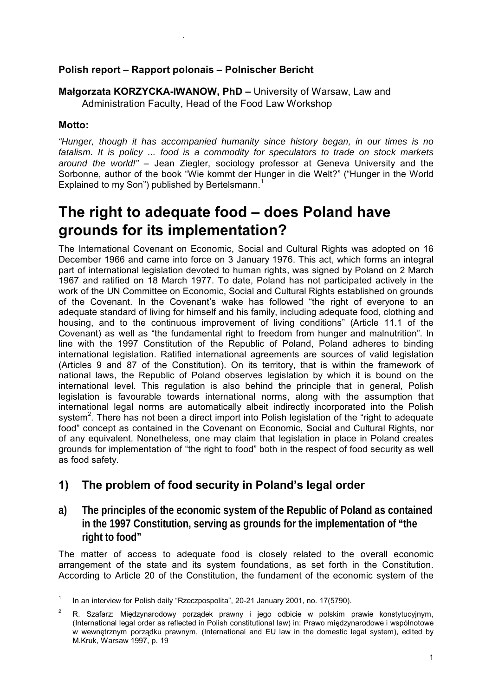### **Polish report – Rapport polonais – Polnischer Bericht**

**Małgorzata KORZYCKA-IWANOW, PhD –** University of Warsaw, Law and Administration Faculty, Head of the Food Law Workshop

#### **Motto:**

 $\overline{a}$ 

.

*"Hunger, though it has accompanied humanity since history began, in our times is no fatalism. It is policy ... food is a commodity for speculators to trade on stock markets around the world!"* – Jean Ziegler, sociology professor at Geneva University and the Sorbonne, author of the book "Wie kommt der Hunger in die Welt?" ("Hunger in the World Explained to my Son") published by Bertelsmann.<sup>1</sup>

# **The right to adequate food – does Poland have grounds for its implementation?**

The International Covenant on Economic, Social and Cultural Rights was adopted on 16 December 1966 and came into force on 3 January 1976. This act, which forms an integral part of international legislation devoted to human rights, was signed by Poland on 2 March 1967 and ratified on 18 March 1977. To date, Poland has not participated actively in the work of the UN Committee on Economic, Social and Cultural Rights established on grounds of the Covenant. In the Covenant's wake has followed "the right of everyone to an adequate standard of living for himself and his family, including adequate food, clothing and housing, and to the continuous improvement of living conditions" (Article 11.1 of the Covenant) as well as "the fundamental right to freedom from hunger and malnutrition". In line with the 1997 Constitution of the Republic of Poland, Poland adheres to binding international legislation. Ratified international agreements are sources of valid legislation (Articles 9 and 87 of the Constitution). On its territory, that is within the framework of national laws, the Republic of Poland observes legislation by which it is bound on the international level. This regulation is also behind the principle that in general, Polish legislation is favourable towards international norms, along with the assumption that international legal norms are automatically albeit indirectly incorporated into the Polish system<sup>2</sup>. There has not been a direct import into Polish legislation of the "right to adequate food" concept as contained in the Covenant on Economic, Social and Cultural Rights, nor of any equivalent. Nonetheless, one may claim that legislation in place in Poland creates grounds for implementation of "the right to food" both in the respect of food security as well as food safety.

# **1) The problem of food security in Poland's legal order**

**a) The principles of the economic system of the Republic of Poland as contained in the 1997 Constitution, serving as grounds for the implementation of "the right to food"** 

The matter of access to adequate food is closely related to the overall economic arrangement of the state and its system foundations, as set forth in the Constitution. According to Article 20 of the Constitution, the fundament of the economic system of the

<sup>1</sup> In an interview for Polish daily "Rzeczpospolita", 20-21 January 2001, no. 17(5790).

<sup>2</sup> R. Szafarz: Międzynarodowy porządek prawny i jego odbicie w polskim prawie konstytucyjnym, (International legal order as reflected in Polish constitutional law) in: Prawo międzynarodowe i wspólnotowe w wewnętrznym porządku prawnym, (International and EU law in the domestic legal system), edited by M.Kruk, Warsaw 1997, p. 19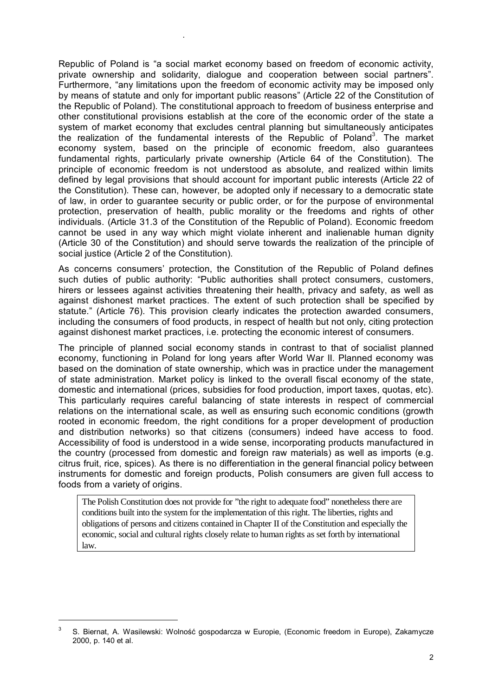Republic of Poland is "a social market economy based on freedom of economic activity, private ownership and solidarity, dialogue and cooperation between social partners". Furthermore, "any limitations upon the freedom of economic activity may be imposed only by means of statute and only for important public reasons" (Article 22 of the Constitution of the Republic of Poland). The constitutional approach to freedom of business enterprise and other constitutional provisions establish at the core of the economic order of the state a system of market economy that excludes central planning but simultaneously anticipates the realization of the fundamental interests of the Republic of Poland<sup>3</sup>. The market economy system, based on the principle of economic freedom, also guarantees fundamental rights, particularly private ownership (Article 64 of the Constitution). The principle of economic freedom is not understood as absolute, and realized within limits defined by legal provisions that should account for important public interests (Article 22 of the Constitution). These can, however, be adopted only if necessary to a democratic state of law, in order to guarantee security or public order, or for the purpose of environmental protection, preservation of health, public morality or the freedoms and rights of other individuals. (Article 31.3 of the Constitution of the Republic of Poland). Economic freedom cannot be used in any way which might violate inherent and inalienable human dignity (Article 30 of the Constitution) and should serve towards the realization of the principle of social justice (Article 2 of the Constitution).

.

As concerns consumers' protection, the Constitution of the Republic of Poland defines such duties of public authority: "Public authorities shall protect consumers, customers, hirers or lessees against activities threatening their health, privacy and safety, as well as against dishonest market practices. The extent of such protection shall be specified by statute." (Article 76). This provision clearly indicates the protection awarded consumers, including the consumers of food products, in respect of health but not only, citing protection against dishonest market practices, i.e. protecting the economic interest of consumers.

The principle of planned social economy stands in contrast to that of socialist planned economy, functioning in Poland for long years after World War II. Planned economy was based on the domination of state ownership, which was in practice under the management of state administration. Market policy is linked to the overall fiscal economy of the state, domestic and international (prices, subsidies for food production, import taxes, quotas, etc). This particularly requires careful balancing of state interests in respect of commercial relations on the international scale, as well as ensuring such economic conditions (growth rooted in economic freedom, the right conditions for a proper development of production and distribution networks) so that citizens (consumers) indeed have access to food. Accessibility of food is understood in a wide sense, incorporating products manufactured in the country (processed from domestic and foreign raw materials) as well as imports (e.g. citrus fruit, rice, spices). As there is no differentiation in the general financial policy between instruments for domestic and foreign products, Polish consumers are given full access to foods from a variety of origins.

The Polish Constitution does not provide for "the right to adequate food" nonetheless there are conditions built into the system for the implementation of this right. The liberties, rights and obligations of persons and citizens contained in Chapter II of the Constitution and especially the economic, social and cultural rights closely relate to human rights as set forth by international law.

<sup>3</sup> S. Biernat, A. Wasilewski: Wolność gospodarcza w Europie, (Economic freedom in Europe), Zakamycze 2000, p. 140 et al.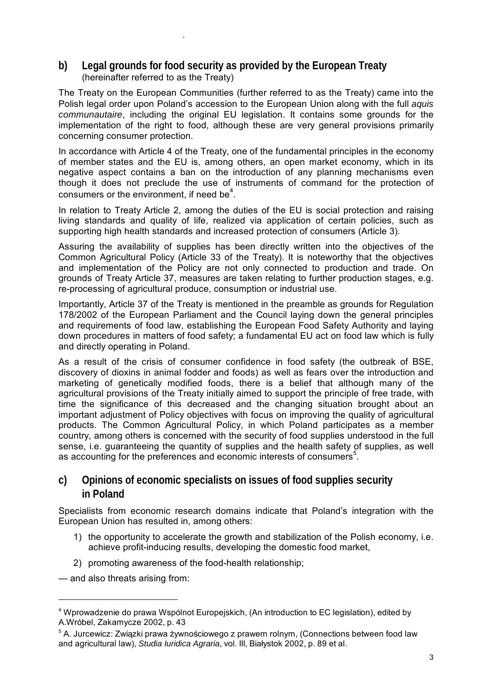### **b) Legal grounds for food security as provided by the European Treaty**  (hereinafter referred to as the Treaty)

.

The Treaty on the European Communities (further referred to as the Treaty) came into the Polish legal order upon Poland's accession to the European Union along with the full *aquis communautaire*, including the original EU legislation. It contains some grounds for the implementation of the right to food, although these are very general provisions primarily concerning consumer protection.

In accordance with Article 4 of the Treaty, one of the fundamental principles in the economy of member states and the EU is, among others, an open market economy, which in its negative aspect contains a ban on the introduction of any planning mechanisms even though it does not preclude the use of instruments of command for the protection of consumers or the environment, if need be $4$ .

In relation to Treaty Article 2, among the duties of the EU is social protection and raising living standards and quality of life, realized via application of certain policies, such as supporting high health standards and increased protection of consumers (Article 3).

Assuring the availability of supplies has been directly written into the objectives of the Common Agricultural Policy (Article 33 of the Treaty). It is noteworthy that the objectives and implementation of the Policy are not only connected to production and trade. On grounds of Treaty Article 37, measures are taken relating to further production stages, e.g. re-processing of agricultural produce, consumption or industrial use.

Importantly, Article 37 of the Treaty is mentioned in the preamble as grounds for Regulation 178/2002 of the European Parliament and the Council laying down the general principles and requirements of food law, establishing the European Food Safety Authority and laying down procedures in matters of food safety; a fundamental EU act on food law which is fully and directly operating in Poland.

As a result of the crisis of consumer confidence in food safety (the outbreak of BSE, discovery of dioxins in animal fodder and foods) as well as fears over the introduction and marketing of genetically modified foods, there is a belief that although many of the agricultural provisions of the Treaty initially aimed to support the principle of free trade, with time the significance of this decreased and the changing situation brought about an important adjustment of Policy objectives with focus on improving the quality of agricultural products. The Common Agricultural Policy, in which Poland participates as a member country, among others is concerned with the security of food supplies understood in the full sense, i.e. guaranteeing the quantity of supplies and the health safety of supplies, as well as accounting for the preferences and economic interests of consumers<sup>5</sup>.

### **c) Opinions of economic specialists on issues of food supplies security in Poland**

Specialists from economic research domains indicate that Poland's integration with the European Union has resulted in, among others:

- 1) the opportunity to accelerate the growth and stabilization of the Polish economy, i.e. achieve profit-inducing results, developing the domestic food market,
- 2) promoting awareness of the food-health relationship;

— and also threats arising from:

<sup>&</sup>lt;sup>4</sup> Wprowadzenie do prawa Wspólnot Europejskich, (An introduction to EC legislation), edited by A.Wróbel, Zakamycze 2002, p. 43

<sup>&</sup>lt;sup>5</sup> A. Jurcewicz: Związki prawa żywnościowego z prawem rolnym, (Connections between food law and agricultural law), *Studia Iuridica Agraria*, vol. III, Białystok 2002, p. 89 et al.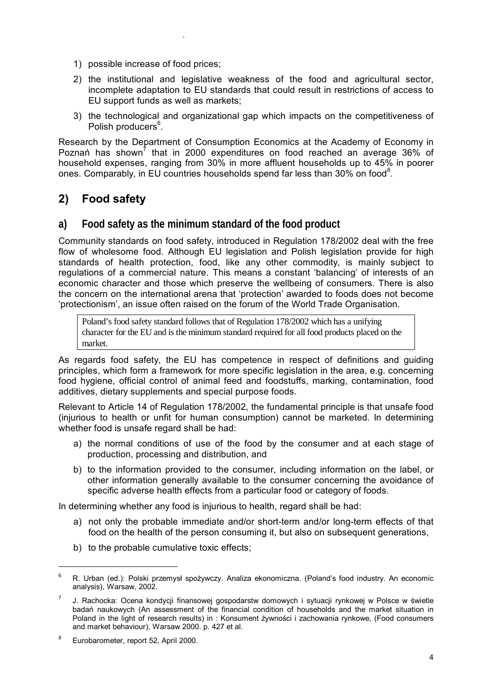1) possible increase of food prices;

.

- 2) the institutional and legislative weakness of the food and agricultural sector, incomplete adaptation to EU standards that could result in restrictions of access to EU support funds as well as markets;
- 3) the technological and organizational gap which impacts on the competitiveness of Polish producers<sup>6</sup>.

Research by the Department of Consumption Economics at the Academy of Economy in Poznań has shown<sup>7</sup> that in 2000 expenditures on food reached an average 36% of household expenses, ranging from 30% in more affluent households up to 45% in poorer ones. Comparably, in EU countries households spend far less than 30% on food<sup>8</sup>.

# **2) Food safety**

### **a) Food safety as the minimum standard of the food product**

Community standards on food safety, introduced in Regulation 178/2002 deal with the free flow of wholesome food. Although EU legislation and Polish legislation provide for high standards of health protection, food, like any other commodity, is mainly subject to regulations of a commercial nature. This means a constant 'balancing' of interests of an economic character and those which preserve the wellbeing of consumers. There is also the concern on the international arena that 'protection' awarded to foods does not become 'protectionism', an issue often raised on the forum of the World Trade Organisation.

Poland's food safety standard follows that of Regulation 178/2002 which has a unifying character for the EU and is the minimum standard required for all food products placed on the market.

As regards food safety, the EU has competence in respect of definitions and guiding principles, which form a framework for more specific legislation in the area, e.g. concerning food hygiene, official control of animal feed and foodstuffs, marking, contamination, food additives, dietary supplements and special purpose foods.

Relevant to Article 14 of Regulation 178/2002, the fundamental principle is that unsafe food (injurious to health or unfit for human consumption) cannot be marketed. In determining whether food is unsafe regard shall be had:

- a) the normal conditions of use of the food by the consumer and at each stage of production, processing and distribution, and
- b) to the information provided to the consumer, including information on the label, or other information generally available to the consumer concerning the avoidance of specific adverse health effects from a particular food or category of foods.

In determining whether any food is injurious to health, regard shall be had:

- a) not only the probable immediate and/or short-term and/or long-term effects of that food on the health of the person consuming it, but also on subsequent generations,
- b) to the probable cumulative toxic effects;

<sup>6</sup> R. Urban (ed.): Polski przemysł spożywczy. Analiza ekonomiczna. (Poland's food industry. An economic analysis), Warsaw, 2002.

<sup>7</sup> J. Rachocka: Ocena kondycji finansowej gospodarstw domowych i sytuacji rynkowej w Polsce w świetle badań naukowych (An assessment of the financial condition of households and the market situation in Poland in the light of research results) in : Konsument żywności i zachowania rynkowe, (Food consumers and market behaviour), Warsaw 2000. p. 427 et al.

<sup>8</sup> Eurobarometer, report 52, April 2000.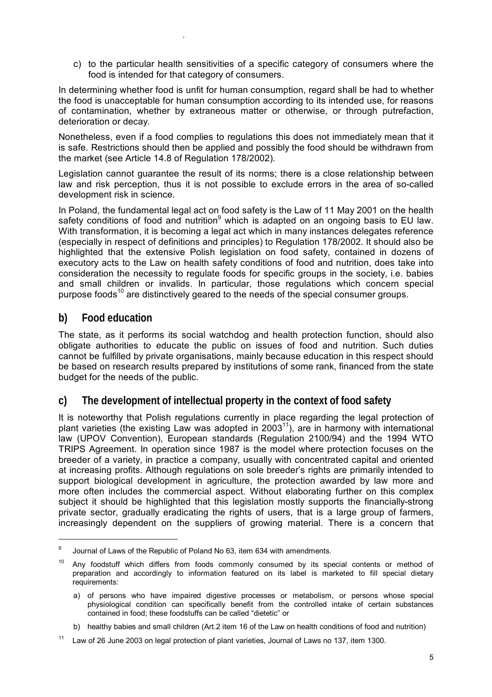c) to the particular health sensitivities of a specific category of consumers where the food is intended for that category of consumers.

In determining whether food is unfit for human consumption, regard shall be had to whether the food is unacceptable for human consumption according to its intended use, for reasons of contamination, whether by extraneous matter or otherwise, or through putrefaction, deterioration or decay.

Nonetheless, even if a food complies to regulations this does not immediately mean that it is safe. Restrictions should then be applied and possibly the food should be withdrawn from the market (see Article 14.8 of Regulation 178/2002).

Legislation cannot guarantee the result of its norms; there is a close relationship between law and risk perception, thus it is not possible to exclude errors in the area of so-called development risk in science.

In Poland, the fundamental legal act on food safety is the Law of 11 May 2001 on the health safety conditions of food and nutrition<sup>9</sup> which is adapted on an ongoing basis to EU law. With transformation, it is becoming a legal act which in many instances delegates reference (especially in respect of definitions and principles) to Regulation 178/2002. It should also be highlighted that the extensive Polish legislation on food safety, contained in dozens of executory acts to the Law on health safety conditions of food and nutrition, does take into consideration the necessity to regulate foods for specific groups in the society, i.e. babies and small children or invalids. In particular, those regulations which concern special purpose foods<sup>10</sup> are distinctively geared to the needs of the special consumer groups.

### **b) Food education**

.

The state, as it performs its social watchdog and health protection function, should also obligate authorities to educate the public on issues of food and nutrition. Such duties cannot be fulfilled by private organisations, mainly because education in this respect should be based on research results prepared by institutions of some rank, financed from the state budget for the needs of the public.

### **c) The development of intellectual property in the context of food safety**

It is noteworthy that Polish regulations currently in place regarding the legal protection of plant varieties (the existing Law was adopted in 2003 $<sup>11</sup>$ ), are in harmony with international</sup> law (UPOV Convention), European standards (Regulation 2100/94) and the 1994 WTO TRIPS Agreement. In operation since 1987 is the model where protection focuses on the breeder of a variety, in practice a company, usually with concentrated capital and oriented at increasing profits. Although regulations on sole breeder's rights are primarily intended to support biological development in agriculture, the protection awarded by law more and more often includes the commercial aspect. Without elaborating further on this complex subject it should be highlighted that this legislation mostly supports the financially-strong private sector, gradually eradicating the rights of users, that is a large group of farmers, increasingly dependent on the suppliers of growing material. There is a concern that

<sup>9</sup> Journal of Laws of the Republic of Poland No 63, item 634 with amendments.

<sup>&</sup>lt;sup>10</sup> Any foodstuff which differs from foods commonly consumed by its special contents or method of preparation and accordingly to information featured on its label is marketed to fill special dietary requirements:

a) of persons who have impaired digestive processes or metabolism, or persons whose special physiological condition can specifically benefit from the controlled intake of certain substances contained in food; these foodstuffs can be called "dietetic" or

b) healthy babies and small children (Art.2 item 16 of the Law on health conditions of food and nutrition)

<sup>&</sup>lt;sup>11</sup> Law of 26 June 2003 on legal protection of plant varieties, Journal of Laws no 137, item 1300.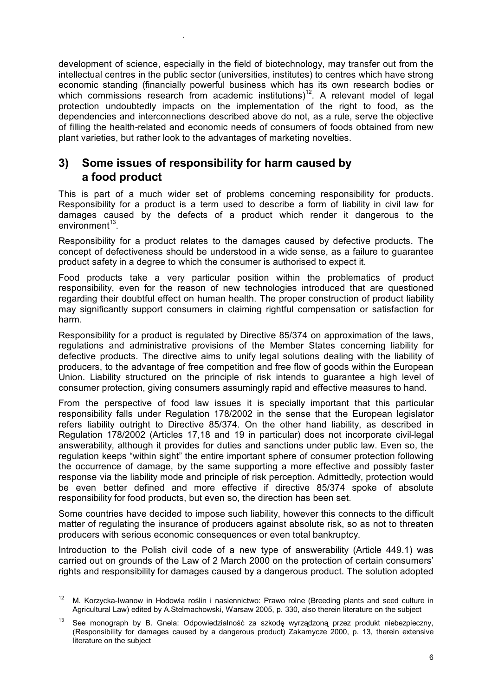development of science, especially in the field of biotechnology, may transfer out from the intellectual centres in the public sector (universities, institutes) to centres which have strong economic standing (financially powerful business which has its own research bodies or which commissions research from academic institutions)<sup>12</sup>. A relevant model of legal protection undoubtedly impacts on the implementation of the right to food, as the dependencies and interconnections described above do not, as a rule, serve the objective of filling the health-related and economic needs of consumers of foods obtained from new plant varieties, but rather look to the advantages of marketing novelties.

# **3) Some issues of responsibility for harm caused by a food product**

.

 $\overline{a}$ 

This is part of a much wider set of problems concerning responsibility for products. Responsibility for a product is a term used to describe a form of liability in civil law for damages caused by the defects of a product which render it dangerous to the  $environment<sup>13</sup>$ .

Responsibility for a product relates to the damages caused by defective products. The concept of defectiveness should be understood in a wide sense, as a failure to guarantee product safety in a degree to which the consumer is authorised to expect it.

Food products take a very particular position within the problematics of product responsibility, even for the reason of new technologies introduced that are questioned regarding their doubtful effect on human health. The proper construction of product liability may significantly support consumers in claiming rightful compensation or satisfaction for harm.

Responsibility for a product is regulated by Directive 85/374 on approximation of the laws, regulations and administrative provisions of the Member States concerning liability for defective products. The directive aims to unify legal solutions dealing with the liability of producers, to the advantage of free competition and free flow of goods within the European Union. Liability structured on the principle of risk intends to guarantee a high level of consumer protection, giving consumers assumingly rapid and effective measures to hand.

From the perspective of food law issues it is specially important that this particular responsibility falls under Regulation 178/2002 in the sense that the European legislator refers liability outright to Directive 85/374. On the other hand liability, as described in Regulation 178/2002 (Articles 17,18 and 19 in particular) does not incorporate civil-legal answerability, although it provides for duties and sanctions under public law. Even so, the regulation keeps "within sight" the entire important sphere of consumer protection following the occurrence of damage, by the same supporting a more effective and possibly faster response via the liability mode and principle of risk perception. Admittedly, protection would be even better defined and more effective if directive 85/374 spoke of absolute responsibility for food products, but even so, the direction has been set.

Some countries have decided to impose such liability, however this connects to the difficult matter of regulating the insurance of producers against absolute risk, so as not to threaten producers with serious economic consequences or even total bankruptcy.

Introduction to the Polish civil code of a new type of answerability (Article 449.1) was carried out on grounds of the Law of 2 March 2000 on the protection of certain consumers' rights and responsibility for damages caused by a dangerous product. The solution adopted

<sup>&</sup>lt;sup>12</sup> M. Korzycka-Iwanow in Hodowla roślin i nasiennictwo: Prawo rolne (Breeding plants and seed culture in Agricultural Law) edited by A.Stelmachowski, Warsaw 2005, p. 330, also therein literature on the subject

See monograph by B. Gnela: Odpowiedzialność za szkode wyrządzoną przez produkt niebezpieczny, (Responsibility for damages caused by a dangerous product) Zakamycze 2000, p. 13, therein extensive literature on the subject